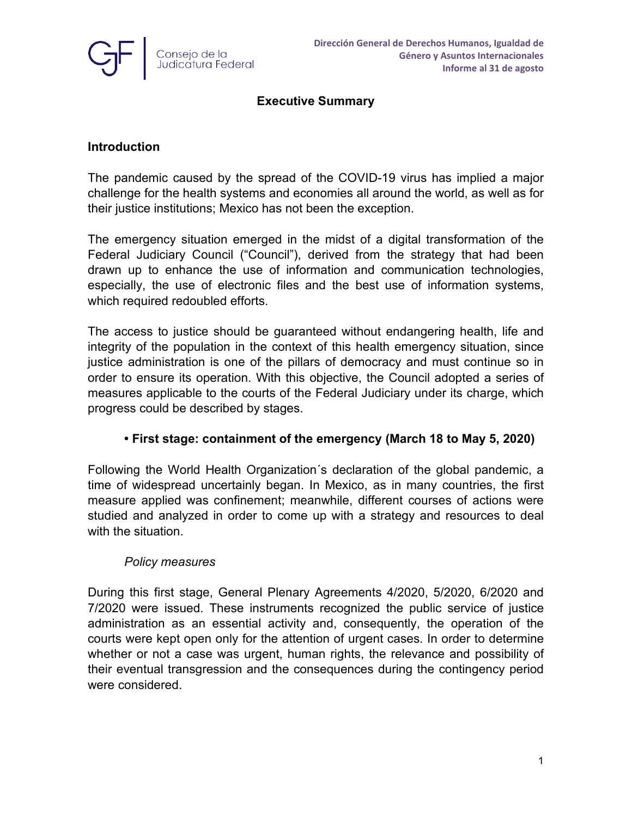

## **Executive Summary**

### **Introduction**

The pandemic caused by the spread of the COVID-19 virus has implied a major challenge for the health systems and economies all around the world, as well as for their justice institutions; Mexico has not been the exception.

The emergency situation emerged in the midst of a digital transformation of the Federal Judiciary Council ("Council"), derived from the strategy that had been drawn up to enhance the use of information and communication technologies, especially, the use of electronic files and the best use of information systems, which required redoubled efforts.

The access to justice should be guaranteed without endangering health, life and integrity of the population in the context of this health emergency situation, since justice administration is one of the pillars of democracy and must continue so in order to ensure its operation. With this objective, the Council adopted a series of measures applicable to the courts of the Federal Judiciary under its charge, which progress could be described by stages.

## **• First stage: containment of the emergency (March 18 to May 5, 2020)**

Following the World Health Organization´s declaration of the global pandemic, a time of widespread uncertainly began. In Mexico, as in many countries, the first measure applied was confinement; meanwhile, different courses of actions were studied and analyzed in order to come up with a strategy and resources to deal with the situation.

#### *Policy measures*

During this first stage, General Plenary Agreements 4/2020, 5/2020, 6/2020 and 7/2020 were issued. These instruments recognized the public service of justice administration as an essential activity and, consequently, the operation of the courts were kept open only for the attention of urgent cases. In order to determine whether or not a case was urgent, human rights, the relevance and possibility of their eventual transgression and the consequences during the contingency period were considered.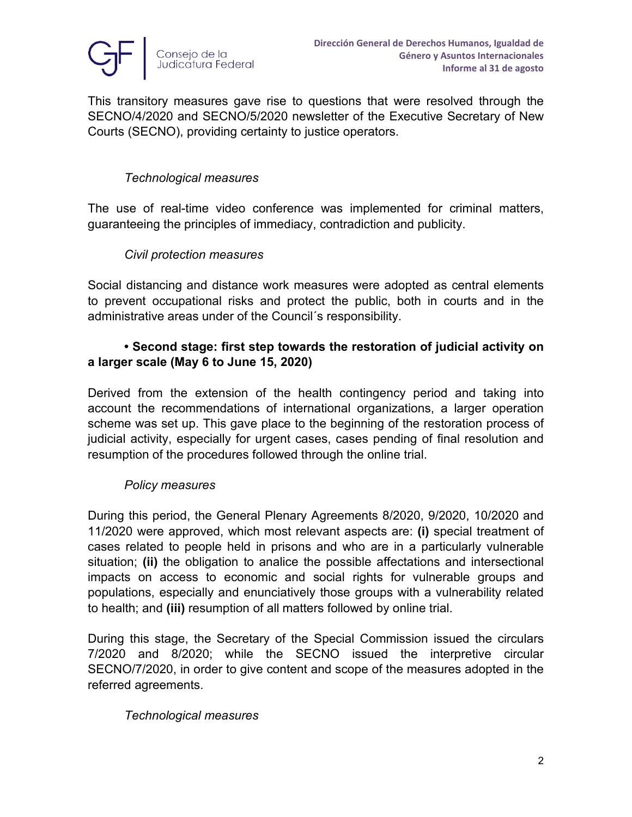

This transitory measures gave rise to questions that were resolved through the SECNO/4/2020 and SECNO/5/2020 newsletter of the Executive Secretary of New Courts (SECNO), providing certainty to justice operators.

### *Technological measures*

The use of real-time video conference was implemented for criminal matters, guaranteeing the principles of immediacy, contradiction and publicity.

### *Civil protection measures*

Social distancing and distance work measures were adopted as central elements to prevent occupational risks and protect the public, both in courts and in the administrative areas under of the Council´s responsibility.

### **• Second stage: first step towards the restoration of judicial activity on a larger scale (May 6 to June 15, 2020)**

Derived from the extension of the health contingency period and taking into account the recommendations of international organizations, a larger operation scheme was set up. This gave place to the beginning of the restoration process of judicial activity, especially for urgent cases, cases pending of final resolution and resumption of the procedures followed through the online trial.

#### *Policy measures*

During this period, the General Plenary Agreements 8/2020, 9/2020, 10/2020 and 11/2020 were approved, which most relevant aspects are: **(i)** special treatment of cases related to people held in prisons and who are in a particularly vulnerable situation; **(ii)** the obligation to analice the possible affectations and intersectional impacts on access to economic and social rights for vulnerable groups and populations, especially and enunciatively those groups with a vulnerability related to health; and **(iii)** resumption of all matters followed by online trial.

During this stage, the Secretary of the Special Commission issued the circulars 7/2020 and 8/2020; while the SECNO issued the interpretive circular SECNO/7/2020, in order to give content and scope of the measures adopted in the referred agreements.

#### *Technological measures*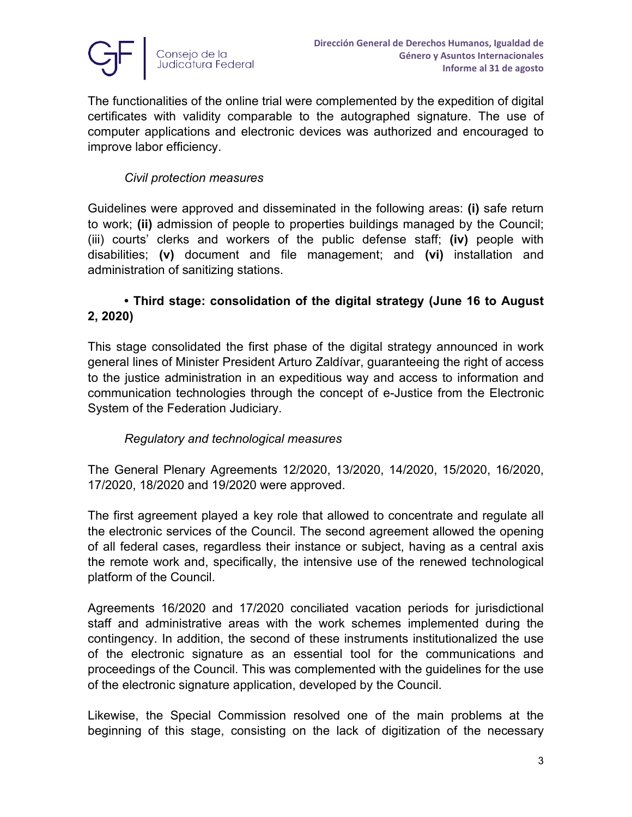

The functionalities of the online trial were complemented by the expedition of digital certificates with validity comparable to the autographed signature. The use of computer applications and electronic devices was authorized and encouraged to improve labor efficiency.

### *Civil protection measures*

Guidelines were approved and disseminated in the following areas: **(i)** safe return to work; **(ii)** admission of people to properties buildings managed by the Council; (iii) courts' clerks and workers of the public defense staff; **(iv)** people with disabilities; **(v)** document and file management; and **(vi)** installation and administration of sanitizing stations.

# **• Third stage: consolidation of the digital strategy (June 16 to August 2, 2020)**

This stage consolidated the first phase of the digital strategy announced in work general lines of Minister President Arturo Zaldívar, guaranteeing the right of access to the justice administration in an expeditious way and access to information and communication technologies through the concept of e-Justice from the Electronic System of the Federation Judiciary.

## *Regulatory and technological measures*

The General Plenary Agreements 12/2020, 13/2020, 14/2020, 15/2020, 16/2020, 17/2020, 18/2020 and 19/2020 were approved.

The first agreement played a key role that allowed to concentrate and regulate all the electronic services of the Council. The second agreement allowed the opening of all federal cases, regardless their instance or subject, having as a central axis the remote work and, specifically, the intensive use of the renewed technological platform of the Council.

Agreements 16/2020 and 17/2020 conciliated vacation periods for jurisdictional staff and administrative areas with the work schemes implemented during the contingency. In addition, the second of these instruments institutionalized the use of the electronic signature as an essential tool for the communications and [proceedings](https://www.linguee.es/ingles-espanol/traduccion/proceedings.html) of the Council. This was complemented with the guidelines for the use of the electronic signature application, developed by the Council.

Likewise, the Special Commission resolved one of the main problems at the beginning of this stage, consisting on the lack of digitization of the necessary